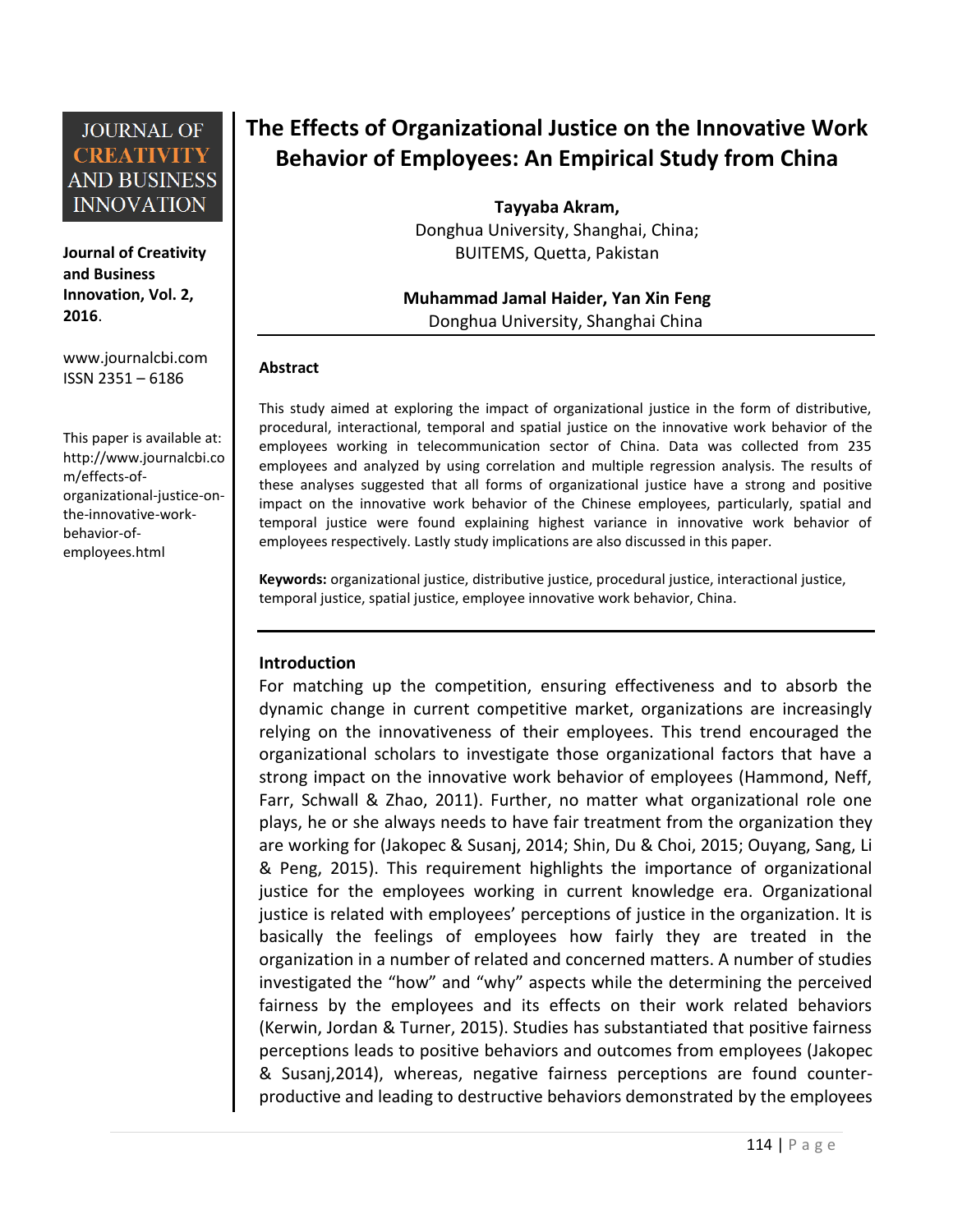**Journal of Creativity and Business Innovation, Vol. 2, 2016**.

[www.journalcbi.com](http://www.journalcbi.com/) ISSN 2351 – 6186

This paper is available at: [http://www.journalcbi.co](http://www.journalcbi.com/ideation-using-analogies.html) [m/effects-of](http://www.journalcbi.com/ideation-using-analogies.html)[organizational-justice-on](http://www.journalcbi.com/ideation-using-analogies.html)[the-innovative-work](http://www.journalcbi.com/ideation-using-analogies.html)[behavior-of](http://www.journalcbi.com/ideation-using-analogies.html)[employees.html](http://www.journalcbi.com/ideation-using-analogies.html)

# **The Effects of Organizational Justice on the Innovative Work Behavior of Employees: An Empirical Study from China**

**Tayyaba Akram,**  Donghua University, Shanghai, China; BUITEMS, Quetta, Pakistan

### **Muhammad Jamal Haider, Yan Xin Feng** Donghua University, Shanghai China

#### **Abstract**

This study aimed at exploring the impact of organizational justice in the form of distributive, procedural, interactional, temporal and spatial justice on the innovative work behavior of the employees working in telecommunication sector of China. Data was collected from 235 employees and analyzed by using correlation and multiple regression analysis. The results of these analyses suggested that all forms of organizational justice have a strong and positive impact on the innovative work behavior of the Chinese employees, particularly, spatial and temporal justice were found explaining highest variance in innovative work behavior of employees respectively. Lastly study implications are also discussed in this paper.

**Keywords:** organizational justice, distributive justice, procedural justice, interactional justice, temporal justice, spatial justice, employee innovative work behavior, China.

#### **Introduction**

For matching up the competition, ensuring effectiveness and to absorb the dynamic change in current competitive market, organizations are increasingly relying on the innovativeness of their employees. This trend encouraged the organizational scholars to investigate those organizational factors that have a strong impact on the innovative work behavior of employees (Hammond, Neff, Farr, Schwall & Zhao, 2011). Further, no matter what organizational role one plays, he or she always needs to have fair treatment from the organization they are working for (Jakopec & Susanj, 2014; Shin, Du & Choi, 2015; Ouyang, Sang, Li & Peng, 2015). This requirement highlights the importance of organizational justice for the employees working in current knowledge era. Organizational justice is related with employees' perceptions of justice in the organization. It is basically the feelings of employees how fairly they are treated in the organization in a number of related and concerned matters. A number of studies investigated the "how" and "why" aspects while the determining the perceived fairness by the employees and its effects on their work related behaviors (Kerwin, Jordan & Turner, 2015). Studies has substantiated that positive fairness perceptions leads to positive behaviors and outcomes from employees (Jakopec & Susanj,2014), whereas, negative fairness perceptions are found counterproductive and leading to destructive behaviors demonstrated by the employees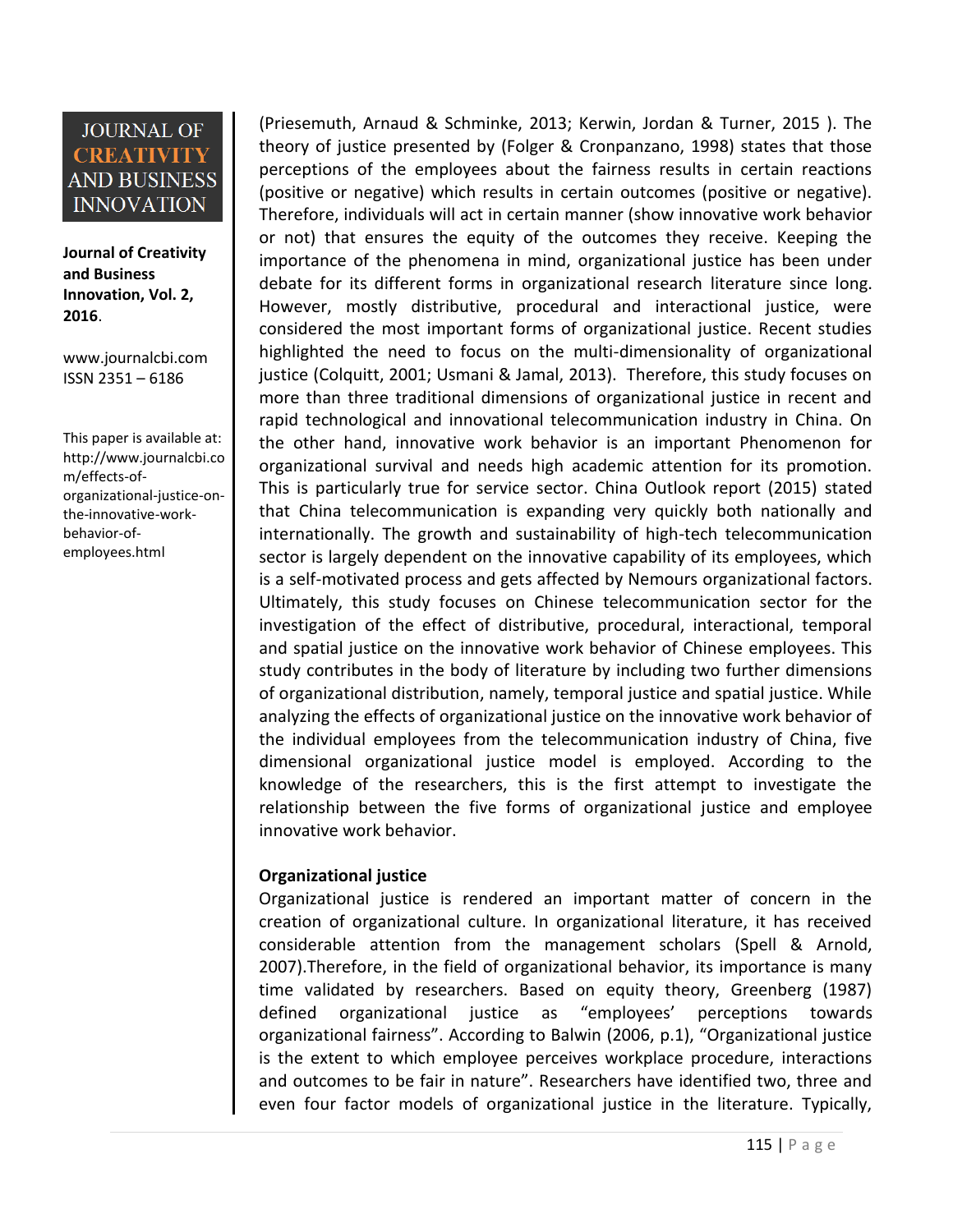**Journal of Creativity and Business Innovation, Vol. 2, 2016**.

[www.journalcbi.com](http://www.journalcbi.com/) ISSN 2351 – 6186

This paper is available at: [http://www.journalcbi.co](http://www.journalcbi.com/ideation-using-analogies.html) [m/effects-of](http://www.journalcbi.com/ideation-using-analogies.html)[organizational-justice-on](http://www.journalcbi.com/ideation-using-analogies.html)[the-innovative-work](http://www.journalcbi.com/ideation-using-analogies.html)[behavior-of](http://www.journalcbi.com/ideation-using-analogies.html)[employees.html](http://www.journalcbi.com/ideation-using-analogies.html)

(Priesemuth, Arnaud & Schminke, 2013; Kerwin, Jordan & Turner, 2015 ). The theory of justice presented by (Folger & Cronpanzano, 1998) states that those perceptions of the employees about the fairness results in certain reactions (positive or negative) which results in certain outcomes (positive or negative). Therefore, individuals will act in certain manner (show innovative work behavior or not) that ensures the equity of the outcomes they receive. Keeping the importance of the phenomena in mind, organizational justice has been under debate for its different forms in organizational research literature since long. However, mostly distributive, procedural and interactional justice, were considered the most important forms of organizational justice. Recent studies highlighted the need to focus on the multi-dimensionality of organizational justice (Colquitt, 2001; Usmani & Jamal, 2013). Therefore, this study focuses on more than three traditional dimensions of organizational justice in recent and rapid technological and innovational telecommunication industry in China. On the other hand, innovative work behavior is an important Phenomenon for organizational survival and needs high academic attention for its promotion. This is particularly true for service sector. China Outlook report (2015) stated that China telecommunication is expanding very quickly both nationally and internationally. The growth and sustainability of high-tech telecommunication sector is largely dependent on the innovative capability of its employees, which is a self-motivated process and gets affected by Nemours organizational factors. Ultimately, this study focuses on Chinese telecommunication sector for the investigation of the effect of distributive, procedural, interactional, temporal and spatial justice on the innovative work behavior of Chinese employees. This study contributes in the body of literature by including two further dimensions of organizational distribution, namely, temporal justice and spatial justice. While analyzing the effects of organizational justice on the innovative work behavior of the individual employees from the telecommunication industry of China, five dimensional organizational justice model is employed. According to the knowledge of the researchers, this is the first attempt to investigate the relationship between the five forms of organizational justice and employee innovative work behavior.

#### **Organizational justice**

Organizational justice is rendered an important matter of concern in the creation of organizational culture. In organizational literature, it has received considerable attention from the management scholars (Spell & Arnold, 2007).Therefore, in the field of organizational behavior, its importance is many time validated by researchers. Based on equity theory, Greenberg (1987) defined organizational justice as "employees' perceptions towards organizational fairness". According to Balwin (2006, p.1), "Organizational justice is the extent to which employee perceives workplace procedure, interactions and outcomes to be fair in nature". Researchers have identified two, three and even four factor models of organizational justice in the literature. Typically,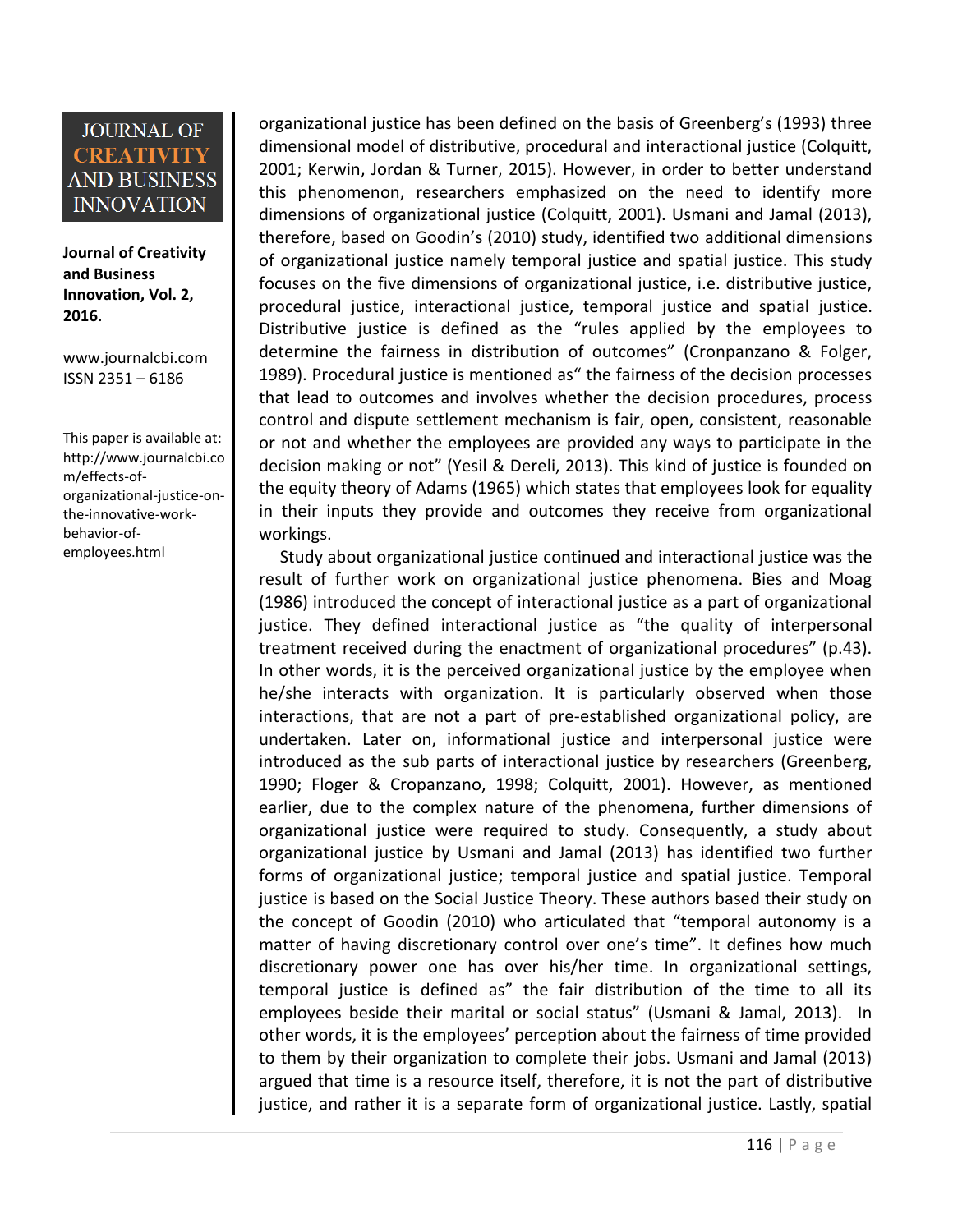**Journal of Creativity and Business Innovation, Vol. 2, 2016**.

[www.journalcbi.com](http://www.journalcbi.com/) ISSN 2351 – 6186

This paper is available at: [http://www.journalcbi.co](http://www.journalcbi.com/ideation-using-analogies.html) [m/effects-of](http://www.journalcbi.com/ideation-using-analogies.html)[organizational-justice-on](http://www.journalcbi.com/ideation-using-analogies.html)[the-innovative-work](http://www.journalcbi.com/ideation-using-analogies.html)[behavior-of](http://www.journalcbi.com/ideation-using-analogies.html)[employees.html](http://www.journalcbi.com/ideation-using-analogies.html)

organizational justice has been defined on the basis of Greenberg's (1993) three dimensional model of distributive, procedural and interactional justice (Colquitt, 2001; Kerwin, Jordan & Turner, 2015). However, in order to better understand this phenomenon, researchers emphasized on the need to identify more dimensions of organizational justice (Colquitt, 2001). Usmani and Jamal (2013), therefore, based on Goodin's (2010) study, identified two additional dimensions of organizational justice namely temporal justice and spatial justice. This study focuses on the five dimensions of organizational justice, i.e. distributive justice, procedural justice, interactional justice, temporal justice and spatial justice. Distributive justice is defined as the "rules applied by the employees to determine the fairness in distribution of outcomes" (Cronpanzano & Folger, 1989). Procedural justice is mentioned as" the fairness of the decision processes that lead to outcomes and involves whether the decision procedures, process control and dispute settlement mechanism is fair, open, consistent, reasonable or not and whether the employees are provided any ways to participate in the decision making or not" (Yesil & Dereli, 2013). This kind of justice is founded on the equity theory of Adams (1965) which states that employees look for equality in their inputs they provide and outcomes they receive from organizational workings.

 Study about organizational justice continued and interactional justice was the result of further work on organizational justice phenomena. Bies and Moag (1986) introduced the concept of interactional justice as a part of organizational justice. They defined interactional justice as "the quality of interpersonal treatment received during the enactment of organizational procedures" (p.43). In other words, it is the perceived organizational justice by the employee when he/she interacts with organization. It is particularly observed when those interactions, that are not a part of pre-established organizational policy, are undertaken. Later on, informational justice and interpersonal justice were introduced as the sub parts of interactional justice by researchers (Greenberg, 1990; Floger & Cropanzano, 1998; Colquitt, 2001). However, as mentioned earlier, due to the complex nature of the phenomena, further dimensions of organizational justice were required to study. Consequently, a study about organizational justice by Usmani and Jamal (2013) has identified two further forms of organizational justice; temporal justice and spatial justice. Temporal justice is based on the Social Justice Theory. These authors based their study on the concept of Goodin (2010) who articulated that "temporal autonomy is a matter of having discretionary control over one's time". It defines how much discretionary power one has over his/her time. In organizational settings, temporal justice is defined as" the fair distribution of the time to all its employees beside their marital or social status" (Usmani & Jamal, 2013). In other words, it is the employees' perception about the fairness of time provided to them by their organization to complete their jobs. Usmani and Jamal (2013) argued that time is a resource itself, therefore, it is not the part of distributive justice, and rather it is a separate form of organizational justice. Lastly, spatial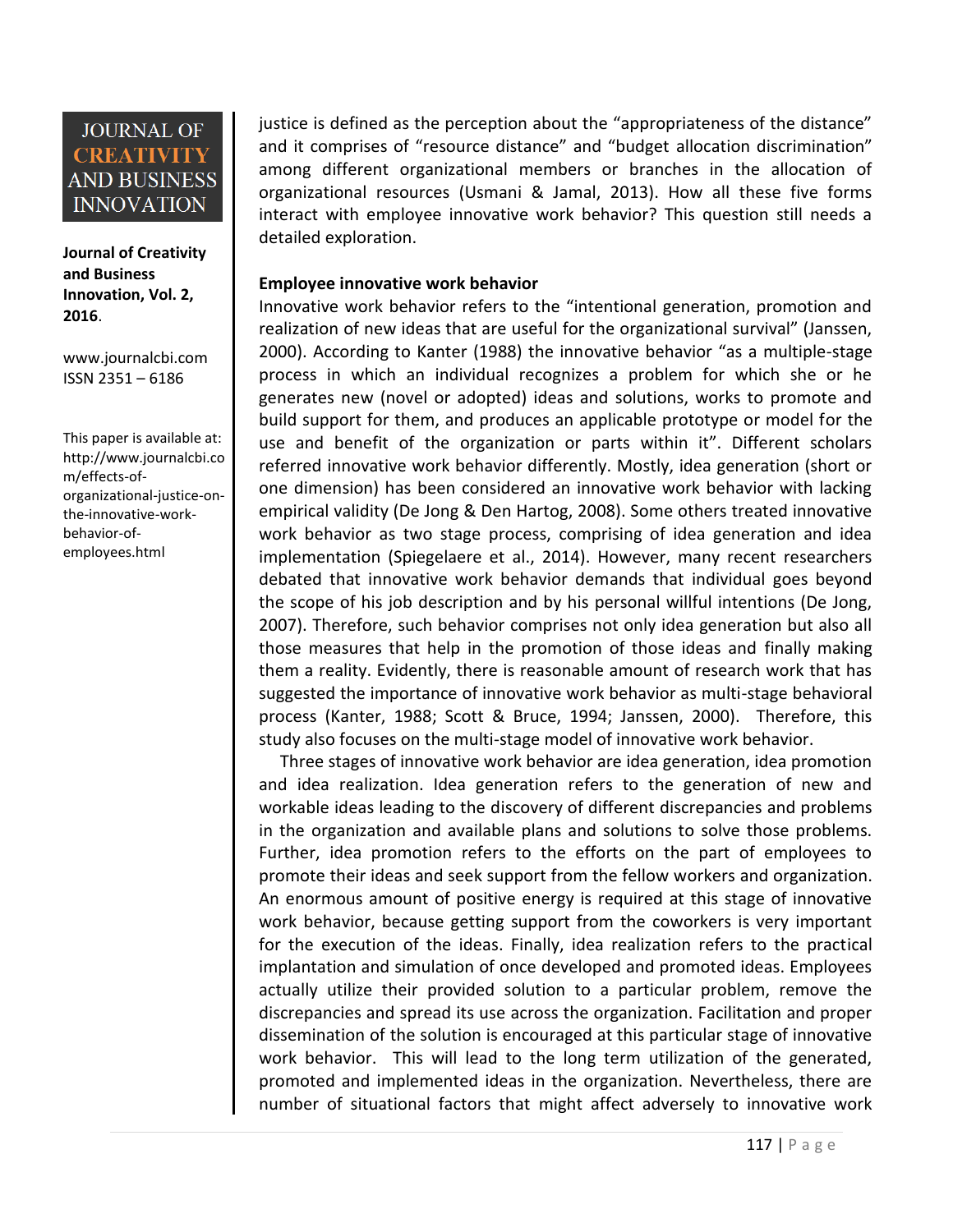**Journal of Creativity and Business Innovation, Vol. 2, 2016**.

[www.journalcbi.com](http://www.journalcbi.com/) ISSN 2351 – 6186

This paper is available at: [http://www.journalcbi.co](http://www.journalcbi.com/ideation-using-analogies.html) [m/effects-of](http://www.journalcbi.com/ideation-using-analogies.html)[organizational-justice-on](http://www.journalcbi.com/ideation-using-analogies.html)[the-innovative-work](http://www.journalcbi.com/ideation-using-analogies.html)[behavior-of](http://www.journalcbi.com/ideation-using-analogies.html)[employees.html](http://www.journalcbi.com/ideation-using-analogies.html)

justice is defined as the perception about the "appropriateness of the distance" and it comprises of "resource distance" and "budget allocation discrimination" among different organizational members or branches in the allocation of organizational resources (Usmani & Jamal, 2013). How all these five forms interact with employee innovative work behavior? This question still needs a detailed exploration.

#### **Employee innovative work behavior**

Innovative work behavior refers to the "intentional generation, promotion and realization of new ideas that are useful for the organizational survival" (Janssen, 2000). According to Kanter (1988) the innovative behavior "as a multiple-stage process in which an individual recognizes a problem for which she or he generates new (novel or adopted) ideas and solutions, works to promote and build support for them, and produces an applicable prototype or model for the use and benefit of the organization or parts within it". Different scholars referred innovative work behavior differently. Mostly, idea generation (short or one dimension) has been considered an innovative work behavior with lacking empirical validity (De Jong & Den Hartog, 2008). Some others treated innovative work behavior as two stage process, comprising of idea generation and idea implementation (Spiegelaere et al., 2014). However, many recent researchers debated that innovative work behavior demands that individual goes beyond the scope of his job description and by his personal willful intentions (De Jong, 2007). Therefore, such behavior comprises not only idea generation but also all those measures that help in the promotion of those ideas and finally making them a reality. Evidently, there is reasonable amount of research work that has suggested the importance of innovative work behavior as multi-stage behavioral process (Kanter, 1988; Scott & Bruce, 1994; Janssen, 2000). Therefore, this study also focuses on the multi-stage model of innovative work behavior.

 Three stages of innovative work behavior are idea generation, idea promotion and idea realization. Idea generation refers to the generation of new and workable ideas leading to the discovery of different discrepancies and problems in the organization and available plans and solutions to solve those problems. Further, idea promotion refers to the efforts on the part of employees to promote their ideas and seek support from the fellow workers and organization. An enormous amount of positive energy is required at this stage of innovative work behavior, because getting support from the coworkers is very important for the execution of the ideas. Finally, idea realization refers to the practical implantation and simulation of once developed and promoted ideas. Employees actually utilize their provided solution to a particular problem, remove the discrepancies and spread its use across the organization. Facilitation and proper dissemination of the solution is encouraged at this particular stage of innovative work behavior. This will lead to the long term utilization of the generated, promoted and implemented ideas in the organization. Nevertheless, there are number of situational factors that might affect adversely to innovative work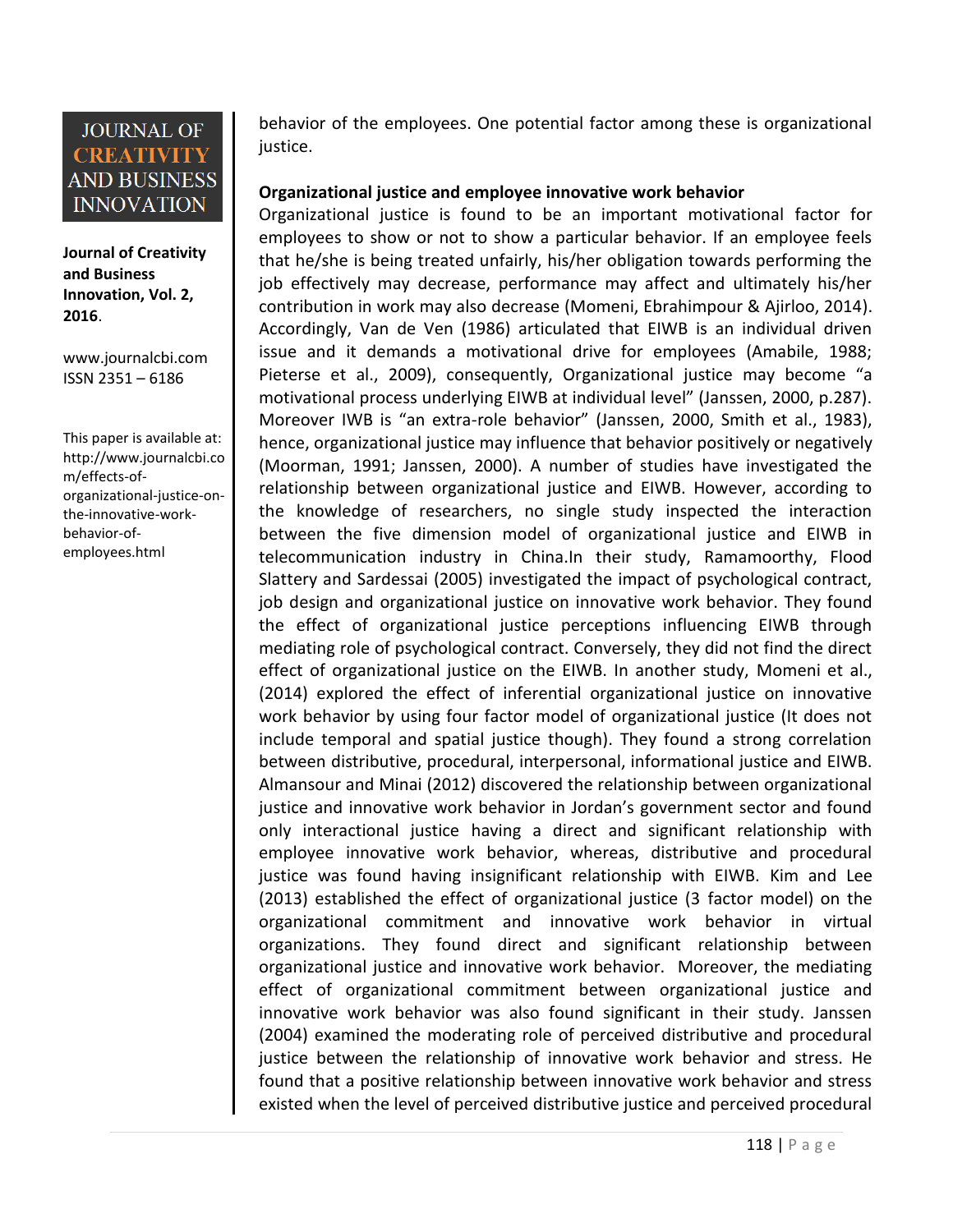**Journal of Creativity and Business Innovation, Vol. 2, 2016**.

[www.journalcbi.com](http://www.journalcbi.com/) ISSN 2351 – 6186

This paper is available at: [http://www.journalcbi.co](http://www.journalcbi.com/ideation-using-analogies.html) [m/effects-of](http://www.journalcbi.com/ideation-using-analogies.html)[organizational-justice-on](http://www.journalcbi.com/ideation-using-analogies.html)[the-innovative-work](http://www.journalcbi.com/ideation-using-analogies.html)[behavior-of](http://www.journalcbi.com/ideation-using-analogies.html)[employees.html](http://www.journalcbi.com/ideation-using-analogies.html)

behavior of the employees. One potential factor among these is organizational justice.

### **Organizational justice and employee innovative work behavior**

Organizational justice is found to be an important motivational factor for employees to show or not to show a particular behavior. If an employee feels that he/she is being treated unfairly, his/her obligation towards performing the job effectively may decrease, performance may affect and ultimately his/her contribution in work may also decrease (Momeni, Ebrahimpour & Ajirloo, 2014). Accordingly, Van de Ven (1986) articulated that EIWB is an individual driven issue and it demands a motivational drive for employees (Amabile, 1988; Pieterse et al., 2009), consequently, Organizational justice may become "a motivational process underlying EIWB at individual level" (Janssen, 2000, p.287). Moreover IWB is "an extra-role behavior" (Janssen, 2000, Smith et al., 1983), hence, organizational justice may influence that behavior positively or negatively (Moorman, 1991; Janssen, 2000). A number of studies have investigated the relationship between organizational justice and EIWB. However, according to the knowledge of researchers, no single study inspected the interaction between the five dimension model of organizational justice and EIWB in telecommunication industry in China.In their study, Ramamoorthy, Flood Slattery and Sardessai (2005) investigated the impact of psychological contract, job design and organizational justice on innovative work behavior. They found the effect of organizational justice perceptions influencing EIWB through mediating role of psychological contract. Conversely, they did not find the direct effect of organizational justice on the EIWB. In another study, Momeni et al., (2014) explored the effect of inferential organizational justice on innovative work behavior by using four factor model of organizational justice (It does not include temporal and spatial justice though). They found a strong correlation between distributive, procedural, interpersonal, informational justice and EIWB. Almansour and Minai (2012) discovered the relationship between organizational justice and innovative work behavior in Jordan's government sector and found only interactional justice having a direct and significant relationship with employee innovative work behavior, whereas, distributive and procedural justice was found having insignificant relationship with EIWB. Kim and Lee (2013) established the effect of organizational justice (3 factor model) on the organizational commitment and innovative work behavior in virtual organizations. They found direct and significant relationship between organizational justice and innovative work behavior. Moreover, the mediating effect of organizational commitment between organizational justice and innovative work behavior was also found significant in their study. Janssen (2004) examined the moderating role of perceived distributive and procedural justice between the relationship of innovative work behavior and stress. He found that a positive relationship between innovative work behavior and stress existed when the level of perceived distributive justice and perceived procedural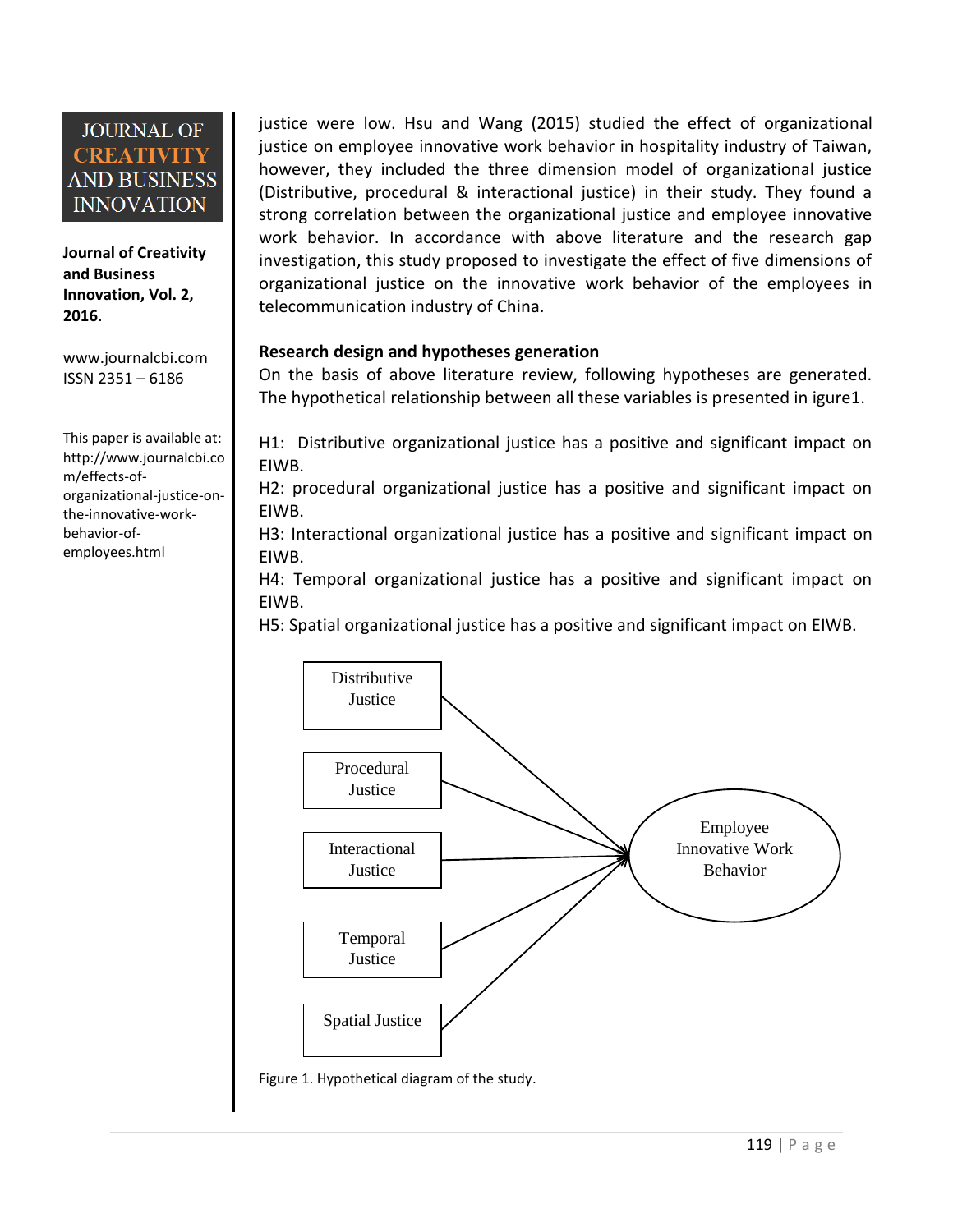**Journal of Creativity and Business Innovation, Vol. 2, 2016**.

[www.journalcbi.com](http://www.journalcbi.com/) ISSN 2351 – 6186

This paper is available at: [http://www.journalcbi.co](http://www.journalcbi.com/ideation-using-analogies.html) [m/effects-of](http://www.journalcbi.com/ideation-using-analogies.html)[organizational-justice-on](http://www.journalcbi.com/ideation-using-analogies.html)[the-innovative-work](http://www.journalcbi.com/ideation-using-analogies.html)[behavior-of](http://www.journalcbi.com/ideation-using-analogies.html)[employees.html](http://www.journalcbi.com/ideation-using-analogies.html)

justice were low. Hsu and Wang (2015) studied the effect of organizational justice on employee innovative work behavior in hospitality industry of Taiwan, however, they included the three dimension model of organizational justice (Distributive, procedural & interactional justice) in their study. They found a strong correlation between the organizational justice and employee innovative work behavior. In accordance with above literature and the research gap investigation, this study proposed to investigate the effect of five dimensions of organizational justice on the innovative work behavior of the employees in telecommunication industry of China.

#### **Research design and hypotheses generation**

On the basis of above literature review, following hypotheses are generated. The hypothetical relationship between all these variables is presented in igure1.

H1: Distributive organizational justice has a positive and significant impact on EIWB.

H2: procedural organizational justice has a positive and significant impact on EIWB.

H3: Interactional organizational justice has a positive and significant impact on EIWB.

H4: Temporal organizational justice has a positive and significant impact on EIWB.

H5: Spatial organizational justice has a positive and significant impact on EIWB.

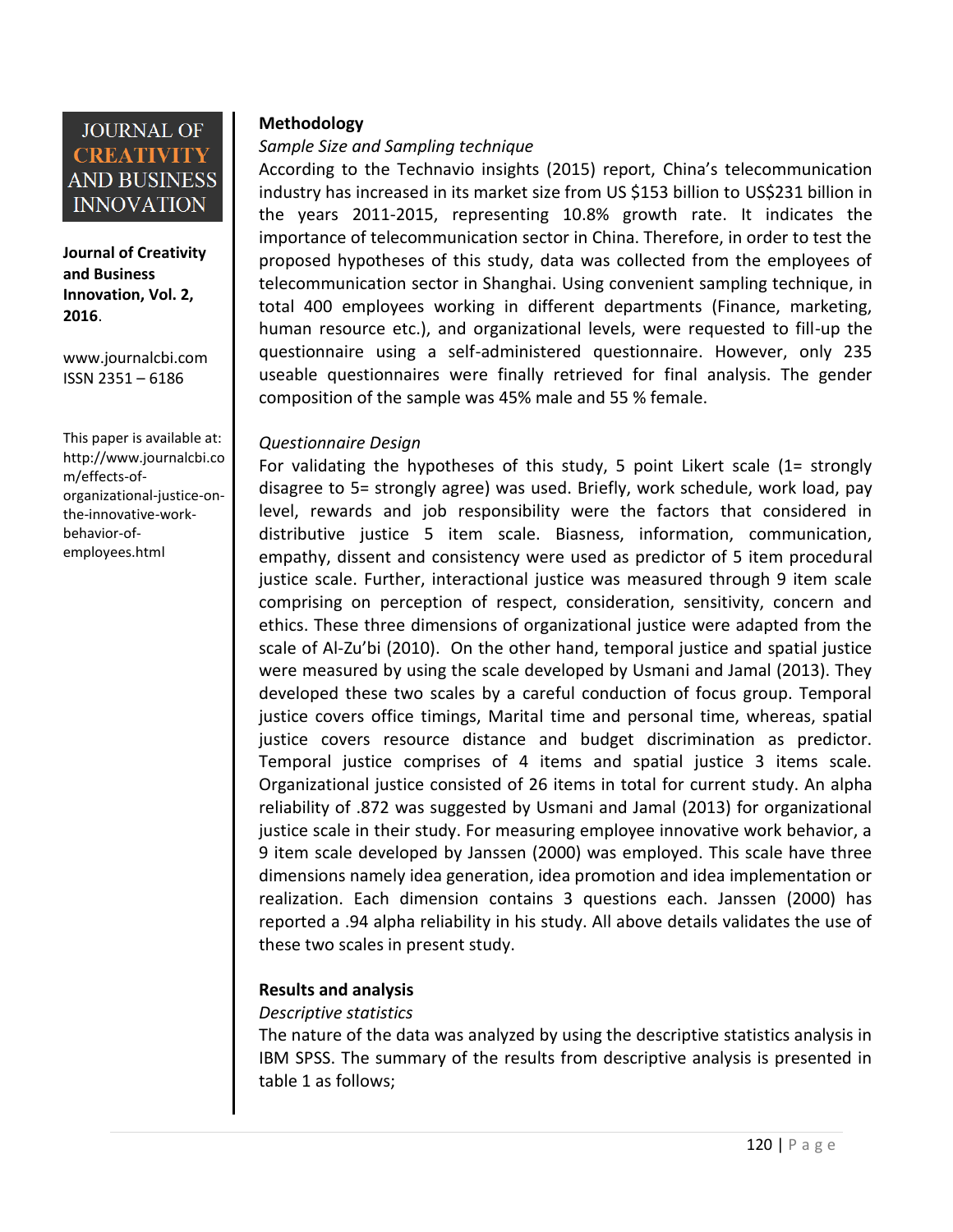**Journal of Creativity and Business Innovation, Vol. 2, 2016**.

[www.journalcbi.com](http://www.journalcbi.com/) ISSN 2351 – 6186

This paper is available at: [http://www.journalcbi.co](http://www.journalcbi.com/ideation-using-analogies.html) [m/effects-of](http://www.journalcbi.com/ideation-using-analogies.html)[organizational-justice-on](http://www.journalcbi.com/ideation-using-analogies.html)[the-innovative-work](http://www.journalcbi.com/ideation-using-analogies.html)[behavior-of](http://www.journalcbi.com/ideation-using-analogies.html)[employees.html](http://www.journalcbi.com/ideation-using-analogies.html)

#### **Methodology**

#### *Sample Size and Sampling technique*

According to the Technavio insights (2015) report, China's telecommunication industry has increased in its market size from US \$153 billion to US\$231 billion in the years 2011-2015, representing 10.8% growth rate. It indicates the importance of telecommunication sector in China. Therefore, in order to test the proposed hypotheses of this study, data was collected from the employees of telecommunication sector in Shanghai. Using convenient sampling technique, in total 400 employees working in different departments (Finance, marketing, human resource etc.), and organizational levels, were requested to fill-up the questionnaire using a self-administered questionnaire. However, only 235 useable questionnaires were finally retrieved for final analysis. The gender composition of the sample was 45% male and 55 % female.

#### *Questionnaire Design*

For validating the hypotheses of this study, 5 point Likert scale (1= strongly disagree to 5= strongly agree) was used. Briefly, work schedule, work load, pay level, rewards and job responsibility were the factors that considered in distributive justice 5 item scale. Biasness, information, communication, empathy, dissent and consistency were used as predictor of 5 item procedural justice scale. Further, interactional justice was measured through 9 item scale comprising on perception of respect, consideration, sensitivity, concern and ethics. These three dimensions of organizational justice were adapted from the scale of Al-Zu'bi (2010). On the other hand, temporal justice and spatial justice were measured by using the scale developed by Usmani and Jamal (2013). They developed these two scales by a careful conduction of focus group. Temporal justice covers office timings, Marital time and personal time, whereas, spatial justice covers resource distance and budget discrimination as predictor. Temporal justice comprises of 4 items and spatial justice 3 items scale. Organizational justice consisted of 26 items in total for current study. An alpha reliability of .872 was suggested by Usmani and Jamal (2013) for organizational justice scale in their study. For measuring employee innovative work behavior, a 9 item scale developed by Janssen (2000) was employed. This scale have three dimensions namely idea generation, idea promotion and idea implementation or realization. Each dimension contains 3 questions each. Janssen (2000) has reported a .94 alpha reliability in his study. All above details validates the use of these two scales in present study.

#### **Results and analysis**

#### *Descriptive statistics*

The nature of the data was analyzed by using the descriptive statistics analysis in IBM SPSS. The summary of the results from descriptive analysis is presented in table 1 as follows;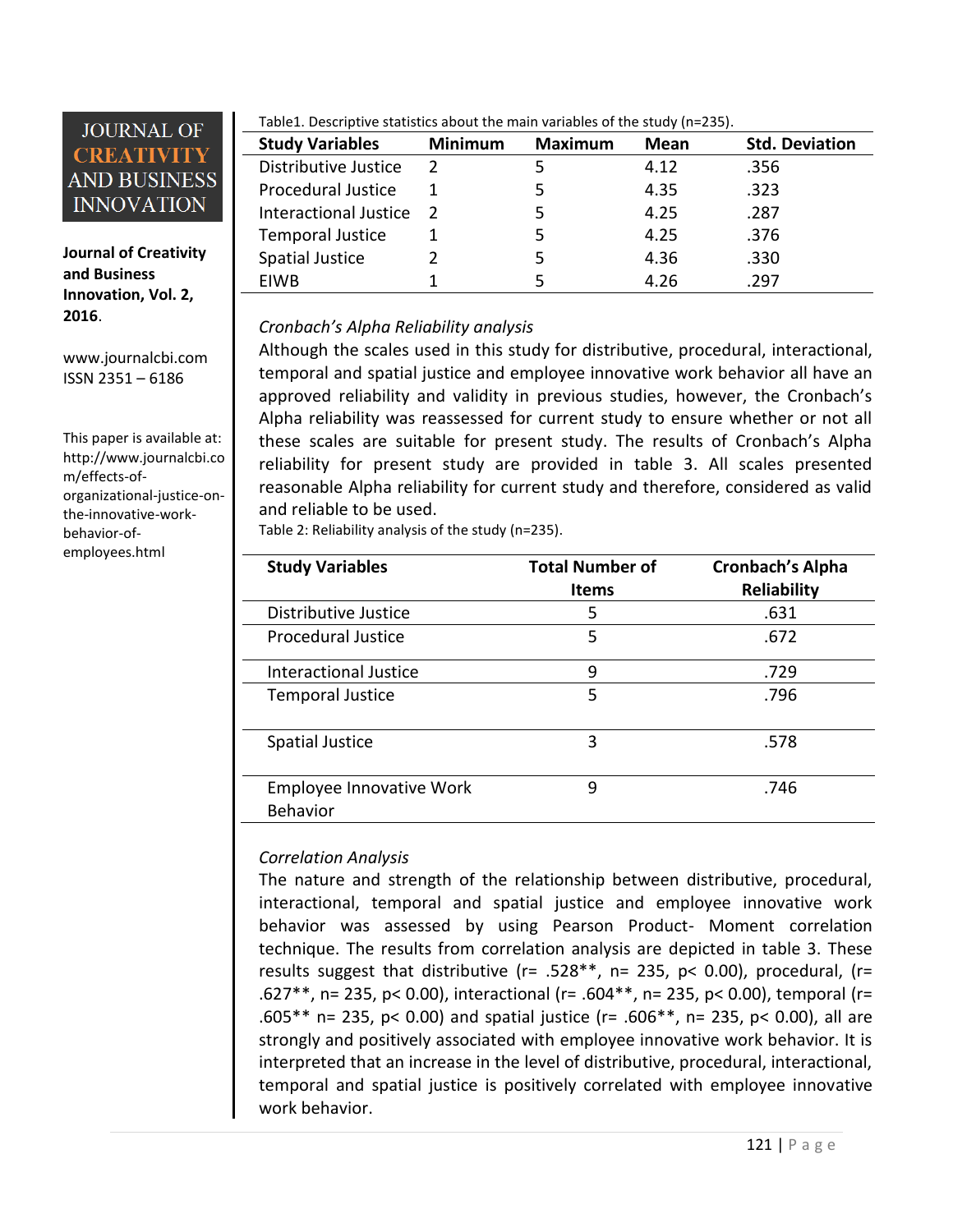

**Journal of Creativity and Business Innovation, Vol. 2, 2016**.

[www.journalcbi.com](http://www.journalcbi.com/) ISSN 2351 – 6186

This paper is available at: [http://www.journalcbi.co](http://www.journalcbi.com/ideation-using-analogies.html) [m/effects-of](http://www.journalcbi.com/ideation-using-analogies.html)[organizational-justice-on](http://www.journalcbi.com/ideation-using-analogies.html)[the-innovative-work](http://www.journalcbi.com/ideation-using-analogies.html)[behavior-of](http://www.journalcbi.com/ideation-using-analogies.html)[employees.html](http://www.journalcbi.com/ideation-using-analogies.html)

Table1. Descriptive statistics about the main variables of the study (n=235).

| <b>Study Variables</b>    | <b>Minimum</b> | Maximum | Mean | <b>Std. Deviation</b> |
|---------------------------|----------------|---------|------|-----------------------|
| Distributive Justice      | $\mathcal{P}$  |         | 4.12 | .356                  |
| <b>Procedural Justice</b> |                |         | 4.35 | .323                  |
| Interactional Justice     | $\mathcal{L}$  |         | 4.25 | .287                  |
| <b>Temporal Justice</b>   |                | 5       | 4.25 | .376                  |
| <b>Spatial Justice</b>    |                |         | 4.36 | .330                  |
| EIWB                      |                | 5       | 4.26 | .297                  |

#### *Cronbach's Alpha Reliability analysis*

Although the scales used in this study for distributive, procedural, interactional, temporal and spatial justice and employee innovative work behavior all have an approved reliability and validity in previous studies, however, the Cronbach's Alpha reliability was reassessed for current study to ensure whether or not all these scales are suitable for present study. The results of Cronbach's Alpha reliability for present study are provided in table 3. All scales presented reasonable Alpha reliability for current study and therefore, considered as valid and reliable to be used.

Table 2: Reliability analysis of the study (n=235).

| <b>Study Variables</b>                      | <b>Total Number of</b><br><b>Items</b> | <b>Cronbach's Alpha</b><br>Reliability |
|---------------------------------------------|----------------------------------------|----------------------------------------|
| Distributive Justice                        | 5                                      | .631                                   |
| <b>Procedural Justice</b>                   | 5                                      | .672                                   |
| Interactional Justice                       | 9                                      | .729                                   |
| <b>Temporal Justice</b>                     | 5                                      | .796                                   |
| <b>Spatial Justice</b>                      | 3                                      | .578                                   |
| Employee Innovative Work<br><b>Behavior</b> | 9                                      | .746                                   |

#### *Correlation Analysis*

The nature and strength of the relationship between distributive, procedural, interactional, temporal and spatial justice and employee innovative work behavior was assessed by using Pearson Product- Moment correlation technique. The results from correlation analysis are depicted in table 3. These results suggest that distributive ( $r= .528**$ ,  $n= 235$ ,  $p< 0.00$ ), procedural, ( $r=$ .627\*\*, n= 235, p< 0.00), interactional (r= .604\*\*, n= 235, p< 0.00), temporal (r= .605\*\* n= 235, p< 0.00) and spatial justice (r= .606\*\*, n= 235, p< 0.00), all are strongly and positively associated with employee innovative work behavior. It is interpreted that an increase in the level of distributive, procedural, interactional, temporal and spatial justice is positively correlated with employee innovative work behavior.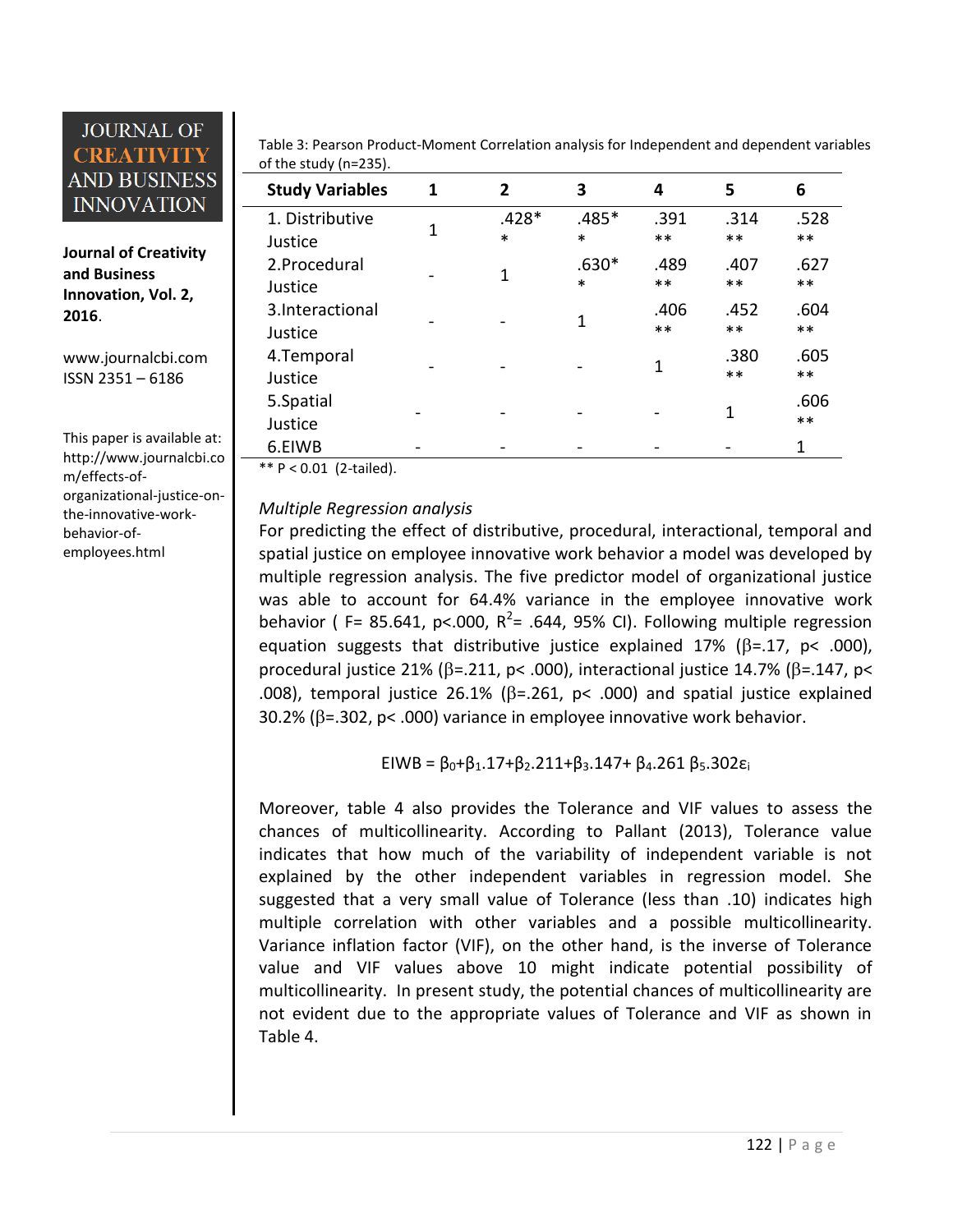**Journal of Creativity and Business Innovation, Vol. 2, 2016**.

[www.journalcbi.com](http://www.journalcbi.com/) ISSN 2351 – 6186

This paper is available at: [http://www.journalcbi.co](http://www.journalcbi.com/ideation-using-analogies.html) [m/effects-of](http://www.journalcbi.com/ideation-using-analogies.html)[organizational-justice-on](http://www.journalcbi.com/ideation-using-analogies.html)[the-innovative-work](http://www.journalcbi.com/ideation-using-analogies.html)[behavior-of](http://www.journalcbi.com/ideation-using-analogies.html)[employees.html](http://www.journalcbi.com/ideation-using-analogies.html)

Table 3: Pearson Product-Moment Correlation analysis for Independent and dependent variables of the study (n=235).

| <b>Study Variables</b>     | 1 | $\mathbf{2}$      | 3                 | 4             | 5            | 6             |
|----------------------------|---|-------------------|-------------------|---------------|--------------|---------------|
| 1. Distributive<br>Justice | 1 | $.428*$<br>$\ast$ | $.485*$<br>$\ast$ | .391<br>$***$ | .314<br>$**$ | .528<br>$***$ |
| 2.Procedural<br>Justice    |   | 1                 | $.630*$<br>$\ast$ | .489<br>$***$ | .407<br>$**$ | .627<br>$***$ |
| 3.Interactional<br>Justice |   |                   | 1                 | .406<br>$***$ | .452<br>$**$ | .604<br>$***$ |
| 4.Temporal<br>Justice      |   |                   |                   | 1             | .380<br>$**$ | .605<br>$***$ |
| 5.Spatial<br>Justice       |   |                   |                   |               | 1            | .606<br>$***$ |
| 6.EIWB                     |   |                   |                   |               |              | 1             |

\*\* P < 0.01 (2-tailed).

#### *Multiple Regression analysis*

For predicting the effect of distributive, procedural, interactional, temporal and spatial justice on employee innovative work behavior a model was developed by multiple regression analysis. The five predictor model of organizational justice was able to account for 64.4% variance in the employee innovative work behavior (F= 85.641, p<.000,  $R^2$ = .644, 95% CI). Following multiple regression equation suggests that distributive justice explained 17% ( $\beta$ =.17, p< .000), procedural justice 21% ( $\beta$ =.211, p< .000), interactional justice 14.7% ( $\beta$ =.147, p< .008), temporal justice 26.1% ( $\beta$ =.261, p< .000) and spatial justice explained  $30.2\%$  ( $\beta$ =.302, p< .000) variance in employee innovative work behavior.

EIWB =  $\beta_0 + \beta_1$ .17+ $\beta_2$ .211+ $\beta_3$ .147+  $\beta_4$ .261  $\beta_5$ .302 $\varepsilon_i$ 

Moreover, table 4 also provides the Tolerance and VIF values to assess the chances of multicollinearity. According to Pallant (2013), Tolerance value indicates that how much of the variability of independent variable is not explained by the other independent variables in regression model. She suggested that a very small value of Tolerance (less than .10) indicates high multiple correlation with other variables and a possible multicollinearity. Variance inflation factor (VIF), on the other hand, is the inverse of Tolerance value and VIF values above 10 might indicate potential possibility of multicollinearity. In present study, the potential chances of multicollinearity are not evident due to the appropriate values of Tolerance and VIF as shown in Table 4.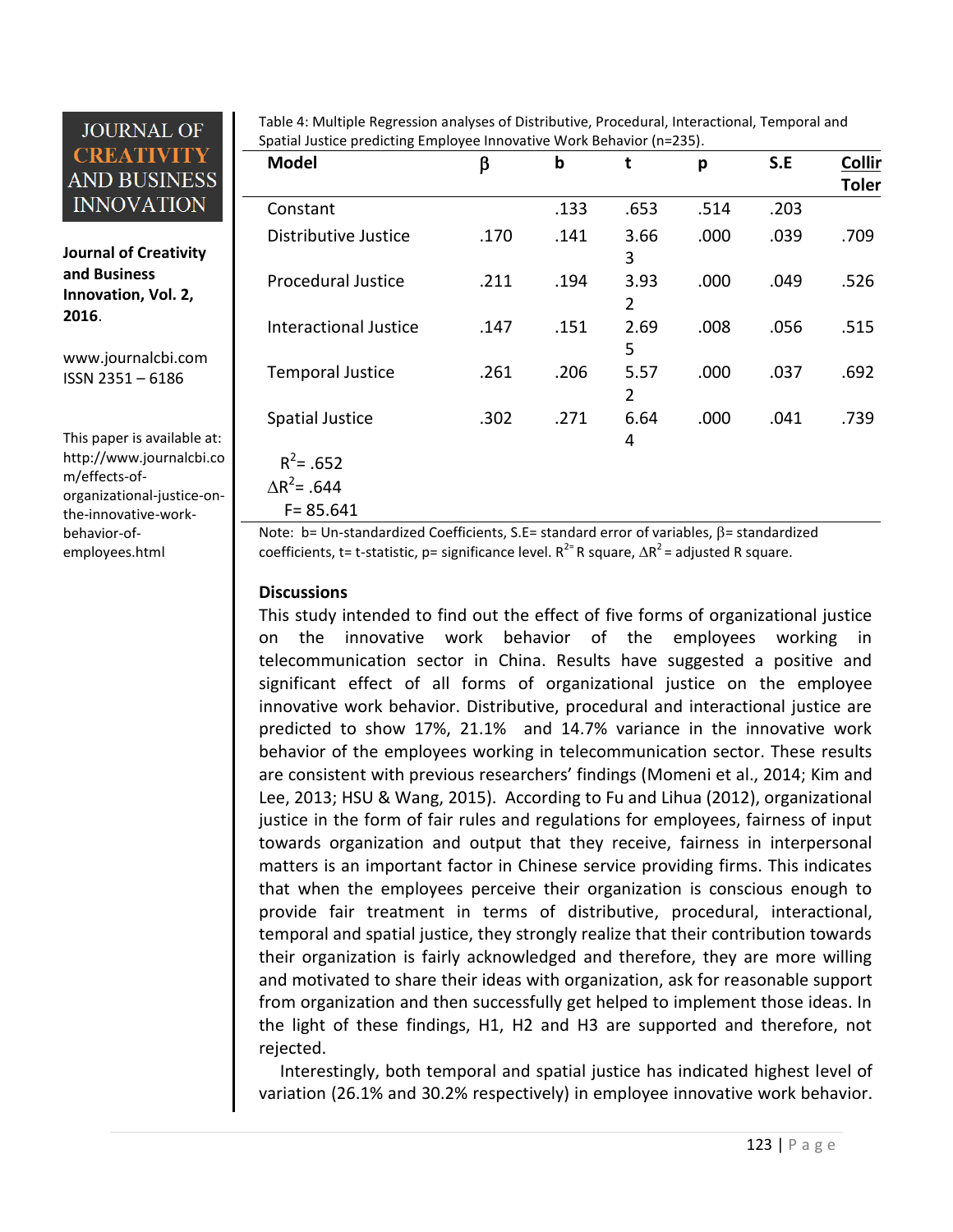**Journal of Creativity and Business Innovation, Vol. 2, 2016**.

[www.journalcbi.com](http://www.journalcbi.com/) ISSN 2351 – 6186

This paper is available at: [http://www.journalcbi.co](http://www.journalcbi.com/ideation-using-analogies.html) [m/effects-of](http://www.journalcbi.com/ideation-using-analogies.html)[organizational-justice-on](http://www.journalcbi.com/ideation-using-analogies.html)[the-innovative-work](http://www.journalcbi.com/ideation-using-analogies.html)[behavior-of](http://www.journalcbi.com/ideation-using-analogies.html)[employees.html](http://www.journalcbi.com/ideation-using-analogies.html)

Table 4: Multiple Regression analyses of Distributive, Procedural, Interactional, Temporal and Spatial Justice predicting Employee Innovative Work Behavior (n=235).

| <b>Model</b>                                                   | β    | b    | t                      | p    | S.E  | <b>Collir</b><br><b>Toler</b> |
|----------------------------------------------------------------|------|------|------------------------|------|------|-------------------------------|
| Constant                                                       |      | .133 | .653                   | .514 | .203 |                               |
| Distributive Justice                                           | .170 | .141 | 3.66<br>3              | .000 | .039 | .709                          |
| <b>Procedural Justice</b>                                      | .211 | .194 | 3.93<br>2              | .000 | .049 | .526                          |
| <b>Interactional Justice</b>                                   | .147 | .151 | 2.69<br>5              | .008 | .056 | .515                          |
| <b>Temporal Justice</b>                                        | .261 | .206 | 5.57<br>$\overline{2}$ | .000 | .037 | .692                          |
| <b>Spatial Justice</b>                                         | .302 | .271 | 6.64<br>4              | .000 | .041 | .739                          |
| $R^2$ = .652<br>$\Delta$ R <sup>2</sup> = .644<br>$F = 85.641$ |      |      |                        |      |      |                               |

Note:  $b=$  Un-standardized Coefficients, S.E= standard error of variables,  $\beta$ = standardized coefficients, t= t-statistic, p= significance level.  $R^{2=}$ R square,  $\Delta R^2$ = adjusted R square.

#### **Discussions**

This study intended to find out the effect of five forms of organizational justice on the innovative work behavior of the employees working in telecommunication sector in China. Results have suggested a positive and significant effect of all forms of organizational justice on the employee innovative work behavior. Distributive, procedural and interactional justice are predicted to show 17%, 21.1% and 14.7% variance in the innovative work behavior of the employees working in telecommunication sector. These results are consistent with previous researchers' findings (Momeni et al., 2014; Kim and Lee, 2013; HSU & Wang, 2015). According to Fu and Lihua (2012), organizational justice in the form of fair rules and regulations for employees, fairness of input towards organization and output that they receive, fairness in interpersonal matters is an important factor in Chinese service providing firms. This indicates that when the employees perceive their organization is conscious enough to provide fair treatment in terms of distributive, procedural, interactional, temporal and spatial justice, they strongly realize that their contribution towards their organization is fairly acknowledged and therefore, they are more willing and motivated to share their ideas with organization, ask for reasonable support from organization and then successfully get helped to implement those ideas. In the light of these findings, H1, H2 and H3 are supported and therefore, not rejected.

Interestingly, both temporal and spatial justice has indicated highest level of variation (26.1% and 30.2% respectively) in employee innovative work behavior.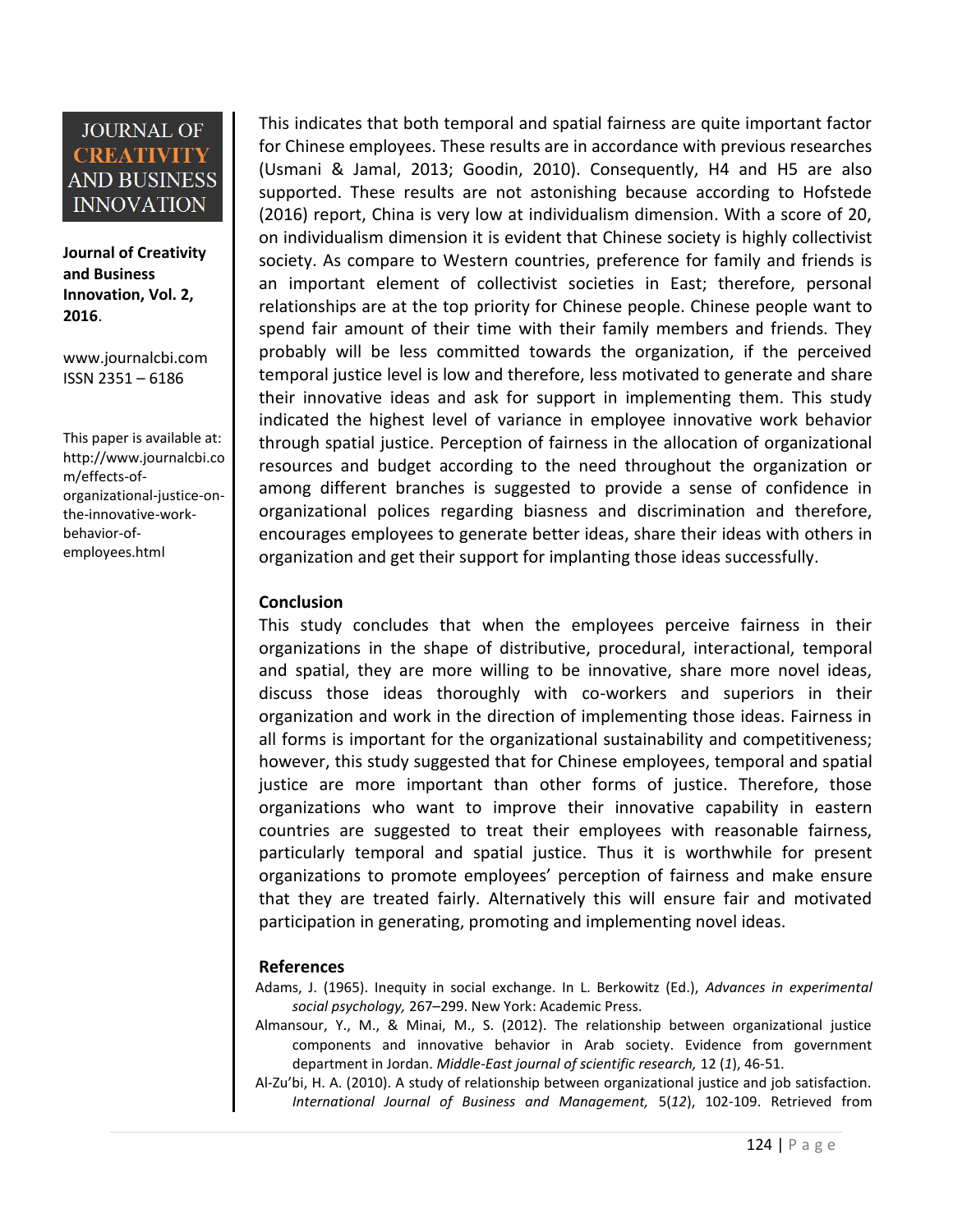**Journal of Creativity and Business Innovation, Vol. 2, 2016**.

[www.journalcbi.com](http://www.journalcbi.com/) ISSN 2351 – 6186

This paper is available at: [http://www.journalcbi.co](http://www.journalcbi.com/ideation-using-analogies.html) [m/effects-of](http://www.journalcbi.com/ideation-using-analogies.html)[organizational-justice-on](http://www.journalcbi.com/ideation-using-analogies.html)[the-innovative-work](http://www.journalcbi.com/ideation-using-analogies.html)[behavior-of](http://www.journalcbi.com/ideation-using-analogies.html)[employees.html](http://www.journalcbi.com/ideation-using-analogies.html)

This indicates that both temporal and spatial fairness are quite important factor for Chinese employees. These results are in accordance with previous researches (Usmani & Jamal, 2013; Goodin, 2010). Consequently, H4 and H5 are also supported. These results are not astonishing because according to Hofstede (2016) report, China is very low at individualism dimension. With a score of 20, on individualism dimension it is evident that Chinese society is highly collectivist society. As compare to Western countries, preference for family and friends is an important element of collectivist societies in East; therefore, personal relationships are at the top priority for Chinese people. Chinese people want to spend fair amount of their time with their family members and friends. They probably will be less committed towards the organization, if the perceived temporal justice level is low and therefore, less motivated to generate and share their innovative ideas and ask for support in implementing them. This study indicated the highest level of variance in employee innovative work behavior through spatial justice. Perception of fairness in the allocation of organizational resources and budget according to the need throughout the organization or among different branches is suggested to provide a sense of confidence in organizational polices regarding biasness and discrimination and therefore, encourages employees to generate better ideas, share their ideas with others in organization and get their support for implanting those ideas successfully.

#### **Conclusion**

This study concludes that when the employees perceive fairness in their organizations in the shape of distributive, procedural, interactional, temporal and spatial, they are more willing to be innovative, share more novel ideas, discuss those ideas thoroughly with co-workers and superiors in their organization and work in the direction of implementing those ideas. Fairness in all forms is important for the organizational sustainability and competitiveness; however, this study suggested that for Chinese employees, temporal and spatial justice are more important than other forms of justice. Therefore, those organizations who want to improve their innovative capability in eastern countries are suggested to treat their employees with reasonable fairness, particularly temporal and spatial justice. Thus it is worthwhile for present organizations to promote employees' perception of fairness and make ensure that they are treated fairly. Alternatively this will ensure fair and motivated participation in generating, promoting and implementing novel ideas.

#### **References**

Adams, J. (1965). Inequity in social exchange. In L. Berkowitz (Ed.), *Advances in experimental social psychology,* 267–299. New York: Academic Press.

Almansour, Y., M., & Minai, M., S. (2012). The relationship between organizational justice components and innovative behavior in Arab society. Evidence from government department in Jordan. *Middle-East journal of scientific research,* 12 (*1*), 46-51.

Al-Zu'bi, H. A. (2010). A study of relationship between organizational justice and job satisfaction. *International Journal of Business and Management,* 5(*12*), 102-109. Retrieved from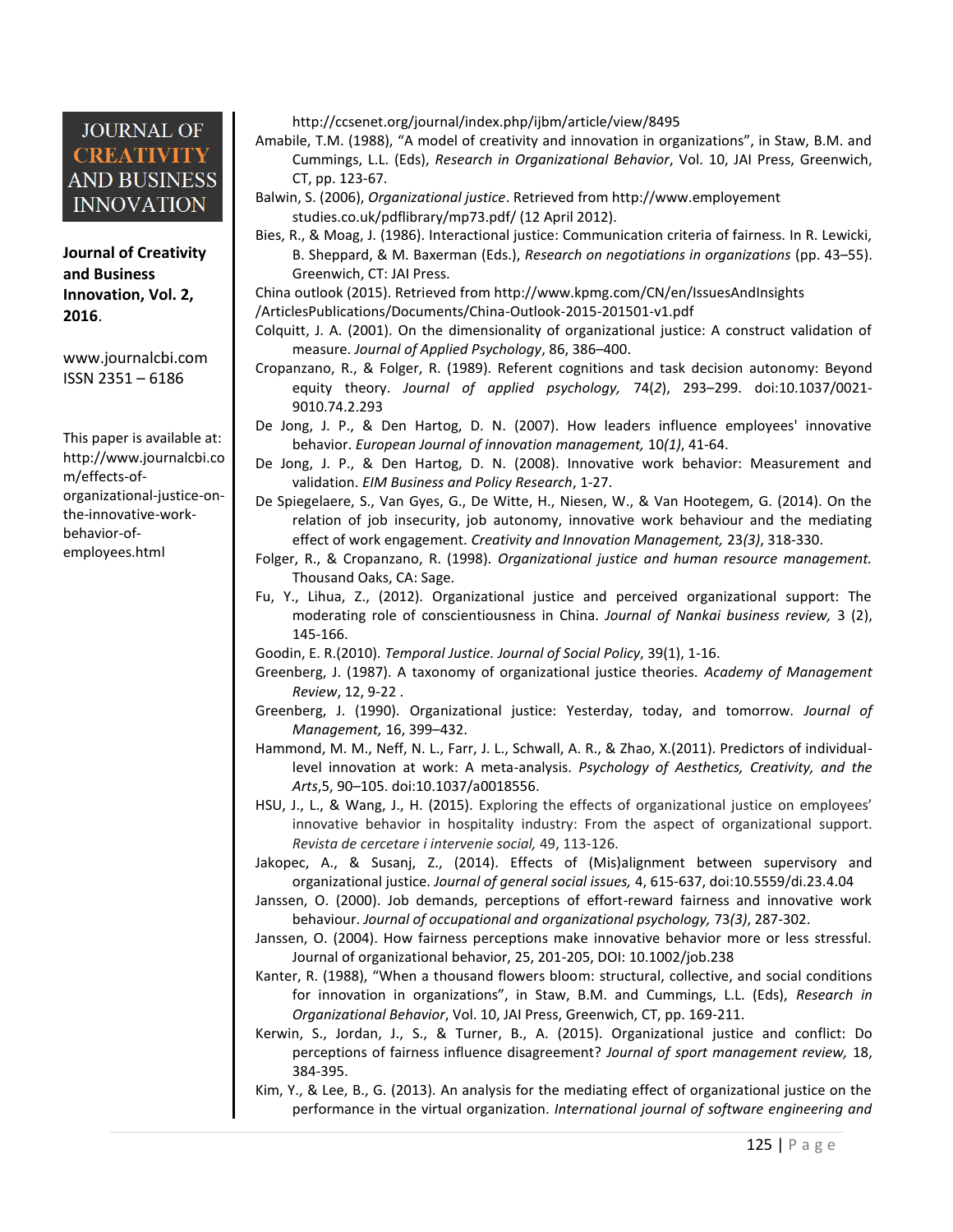**Journal of Creativity and Business Innovation, Vol. 2, 2016**.

[www.journalcbi.com](http://www.journalcbi.com/) ISSN 2351 – 6186

This paper is available at: [http://www.journalcbi.co](http://www.journalcbi.com/ideation-using-analogies.html) [m/effects-of](http://www.journalcbi.com/ideation-using-analogies.html)[organizational-justice-on](http://www.journalcbi.com/ideation-using-analogies.html)[the-innovative-work](http://www.journalcbi.com/ideation-using-analogies.html)[behavior-of](http://www.journalcbi.com/ideation-using-analogies.html)[employees.html](http://www.journalcbi.com/ideation-using-analogies.html)

http://ccsenet.org/journal/index.php/ijbm/article/view/8495

Amabile, T.M. (1988), "A model of creativity and innovation in organizations", in Staw, B.M. and Cummings, L.L. (Eds), *Research in Organizational Behavior*, Vol. 10, JAI Press, Greenwich, CT, pp. 123-67.

- Balwin, S. (2006), *Organizational justice*. Retrieved from http://www.employement studies.co.uk/pdflibrary/mp73.pdf/ (12 April 2012).
- Bies, R., & Moag, J. (1986). Interactional justice: Communication criteria of fairness. In R. Lewicki, B. Sheppard, & M. Baxerman (Eds.), *Research on negotiations in organizations* (pp. 43–55). Greenwich, CT: JAI Press.

China outlook (2015). Retrieved fro[m http://www.kpmg.com/CN/en/IssuesAndInsights](http://www.kpmg.com/CN/en/IssuesAndInsights) /ArticlesPublications/Documents/China-Outlook-2015-201501-v1.pdf

- Colquitt, J. A. (2001). On the dimensionality of organizational justice: A construct validation of measure. *Journal of Applied Psychology*, 86, 386–400.
- Cropanzano, R., & Folger, R. (1989). Referent cognitions and task decision autonomy: Beyond equity theory. *Journal of applied psychology,* 74(*2*), 293–299. doi:10.1037/0021- 9010.74.2.293
- De Jong, J. P., & Den Hartog, D. N. (2007). How leaders influence employees' innovative behavior. *European Journal of innovation management,* 10*(1)*, 41-64.
- De Jong, J. P., & Den Hartog, D. N. (2008). Innovative work behavior: Measurement and validation. *EIM Business and Policy Research*, 1-27.
- De Spiegelaere, S., Van Gyes, G., De Witte, H., Niesen, W., & Van Hootegem, G. (2014). On the relation of job insecurity, job autonomy, innovative work behaviour and the mediating effect of work engagement. *Creativity and Innovation Management,* 23*(3)*, 318-330.
- Folger, R., & Cropanzano, R. (1998). *Organizational justice and human resource management.* Thousand Oaks, CA: Sage.
- Fu, Y., Lihua, Z., (2012). Organizational justice and perceived organizational support: The moderating role of conscientiousness in China. *Journal of Nankai business review,* 3 (2), 145-166.

Goodin, E. R.(2010). *Temporal Justice. Journal of Social Policy*, 39(1), 1-16.

- Greenberg, J. (1987). A taxonomy of organizational justice theories. *Academy of Management Review*, 12, 9-22 .
- Greenberg, J. (1990). Organizational justice: Yesterday, today, and tomorrow. *Journal of Management,* 16, 399–432.
- Hammond, M. M., Neff, N. L., Farr, J. L., Schwall, A. R., & Zhao, X.(2011). Predictors of individuallevel innovation at work: A meta-analysis. *Psychology of Aesthetics, Creativity, and the Arts*,5, 90–105. doi:10.1037/a0018556.
- HSU, J., L., & Wang, J., H. (2015). Exploring the effects of organizational justice on employees' innovative behavior in hospitality industry: From the aspect of organizational support. *Revista de cercetare i intervenie social,* 49, 113-126.
- Jakopec, A., & Susanj, Z., (2014). Effects of (Mis)alignment between supervisory and organizational justice. *Journal of general social issues,* 4, 615-637, doi:10.5559/di.23.4.04
- Janssen, O. (2000). Job demands, perceptions of effort-reward fairness and innovative work behaviour. *Journal of occupational and organizational psychology,* 73*(3)*, 287-302.
- Janssen, O. (2004). How fairness perceptions make innovative behavior more or less stressful. Journal of organizational behavior, 25, 201-205, DOI: 10.1002/job.238
- Kanter, R. (1988), "When a thousand flowers bloom: structural, collective, and social conditions for innovation in organizations", in Staw, B.M. and Cummings, L.L. (Eds), *Research in Organizational Behavior*, Vol. 10, JAI Press, Greenwich, CT, pp. 169-211.
- Kerwin, S., Jordan, J., S., & Turner, B., A. (2015). Organizational justice and conflict: Do perceptions of fairness influence disagreement? *Journal of sport management review,* 18, 384-395.
- Kim, Y., & Lee, B., G. (2013). An analysis for the mediating effect of organizational justice on the performance in the virtual organization. *International journal of software engineering and*